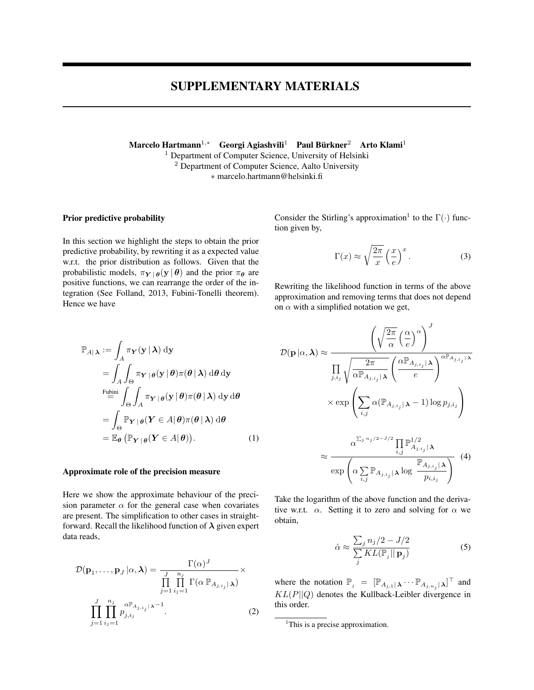# SUPPLEMENTARY MATERIALS

Marcelo Hartmann $^{1,\ast}$  Georgi Agiashvili $^1$  Paul Bürkner $^2$  Arto Klami $^1$ <sup>1</sup> Department of Computer Science, University of Helsinki <sup>2</sup> Department of Computer Science, Aalto University ∗ marcelo.hartmann@helsinki.fi

## Prior predictive probability

In this section we highlight the steps to obtain the prior predictive probability, by rewriting it as a expected value w.r.t. the prior distribution as follows. Given that the probabilistic models,  $\pi_{Y | \theta}(y | \theta)$  and the prior  $\pi_{\theta}$  are positive functions, we can rearrange the order of the integration (See Folland, 2013, Fubini-Tonelli theorem). Hence we have

Consider the Stirling's approximation<sup>1</sup> to the  $\Gamma(\cdot)$  function given by,

$$
\Gamma(x) \approx \sqrt{\frac{2\pi}{x}} \left(\frac{x}{e}\right)^x.
$$
 (3)

Rewriting the likelihood function in terms of the above approximation and removing terms that does not depend on  $\alpha$  with a simplified notation we get,

$$
\mathbb{P}_{A|\lambda} := \int_{A} \pi_{\mathbf{Y}}(\mathbf{y} | \lambda) \, \mathrm{d}\mathbf{y} \n= \int_{A} \int_{\Theta} \pi_{\mathbf{Y} | \theta}(\mathbf{y} | \theta) \pi(\theta | \lambda) \, \mathrm{d}\theta \, \mathrm{d}\mathbf{y} \n\stackrel{\text{Fubini}}{=} \int_{\Theta} \int_{A} \pi_{\mathbf{Y} | \theta}(\mathbf{y} | \theta) \pi(\theta | \lambda) \, \mathrm{d}\mathbf{y} \, \mathrm{d}\theta \n= \int_{\Theta} \mathbb{P}_{\mathbf{Y} | \theta}(\mathbf{Y} \in A | \theta) \pi(\theta | \lambda) \, \mathrm{d}\theta \n= \mathbb{E}_{\theta} (\mathbb{P}_{\mathbf{Y} | \theta}(\mathbf{Y} \in A | \theta)). \n(1)
$$

#### Approximate role of the precision measure

Here we show the approximate behaviour of the precision parameter  $\alpha$  for the general case when covariates are present. The simplification to other cases in straightforward. Recall the likelihood function of  $\lambda$  given expert data reads,

$$
\mathcal{D}(\mathbf{p}_1, \dots, \mathbf{p}_J | \alpha, \lambda) = \frac{\Gamma(\alpha)^J}{\prod_{j=1}^J \prod_{i_j=1}^{n_j} \Gamma(\alpha \mathbb{P}_{A_{j, i_j}} | \lambda)} \times \prod_{j=1}^J \prod_{i_j=1}^{n_j} p_{j, i_j}^{\alpha \mathbb{P}_{A_{j, i_j}} | \lambda^{-1}}.
$$
\n(2)

$$
\mathcal{D}(\mathbf{p}|\alpha,\lambda) \approx \frac{\left(\sqrt{\frac{2\pi}{\alpha}}\left(\frac{\alpha}{e}\right)^{\alpha}\right)^{J}}{\prod_{j,i_j} \sqrt{\frac{2\pi}{\alpha \mathbb{P}_{A_{j,i_j}|\lambda}}\left(\frac{\alpha \mathbb{P}_{A_{j,i_j}|\lambda}}{e}\right)^{\alpha \mathbb{P}_{A_{j,i_j}|\lambda}}}}
$$

$$
\times \exp\left(\sum_{i,j} \alpha(\mathbb{P}_{A_{j,i_j}|\lambda} - 1) \log p_{j,i_j}\right)
$$

$$
\approx \frac{\alpha^{\sum_j n_j/2 - J/2} \prod_{i,j} \mathbb{P}_{A_{j,i_j}|\lambda}^{1/2}}{\exp\left(\alpha \sum_{i,j} \mathbb{P}_{A_{j,i_j}|\lambda} \log \frac{\mathbb{P}_{A_{j,i_j}|\lambda}}{p_{i,i_j}}\right)}
$$
(4)

Take the logarithm of the above function and the derivative w.r.t.  $\alpha$ . Setting it to zero and solving for  $\alpha$  we obtain,

$$
\hat{\alpha} \approx \frac{\sum_{j} n_j/2 - J/2}{\sum_{j} KL(\mathbb{P}_j || \mathbf{p}_j)}
$$
(5)

where the notation  $\mathbb{P}_j = [\mathbb{P}_{A_{j,1} | \lambda} \cdots \mathbb{P}_{A_{j,n_j} | \lambda}]^\top$  and  $KL(P||Q)$  denotes the Kullback-Leibler divergence in this order.

<sup>&</sup>lt;sup>1</sup>This is a precise approximation.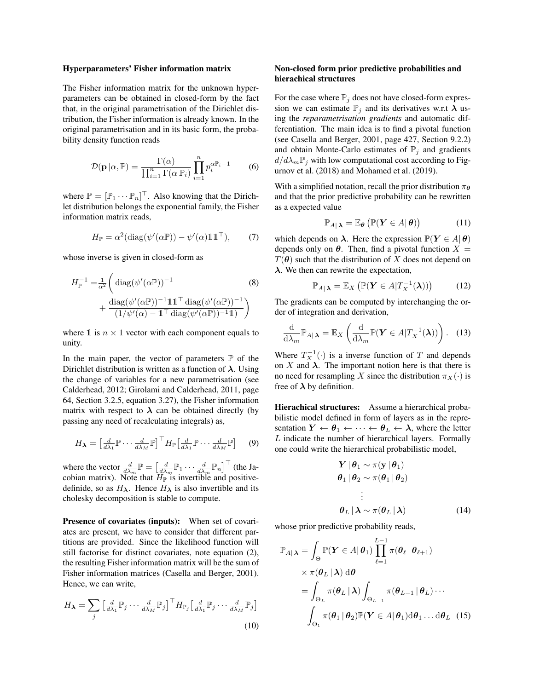#### Hyperparameters' Fisher information matrix

The Fisher information matrix for the unknown hyperparameters can be obtained in closed-form by the fact that, in the original parametrisation of the Dirichlet distribution, the Fisher information is already known. In the original parametrisation and in its basic form, the probability density function reads

$$
\mathcal{D}(\mathbf{p}|\alpha, \mathbb{P}) = \frac{\Gamma(\alpha)}{\prod_{i=1}^{n} \Gamma(\alpha \mathbb{P}_i)} \prod_{i=1}^{n} p_i^{\alpha \mathbb{P}_i - 1}
$$
 (6)

where  $\mathbb{P} = [\mathbb{P}_1 \cdots \mathbb{P}_n]^\top$ . Also knowing that the Dirichlet distribution belongs the exponential family, the Fisher information matrix reads,

$$
H_{\mathbb{P}} = \alpha^2 (\text{diag}(\psi'(\alpha \mathbb{P})) - \psi'(\alpha) \mathbb{1} \mathbb{1}^{\top}), \qquad (7)
$$

whose inverse is given in closed-form as

$$
H_{\mathbb{P}}^{-1} = \frac{1}{\alpha^2} \left( \text{diag}(\psi'(\alpha \mathbb{P}))^{-1} \right)
$$
\n
$$
+ \frac{\text{diag}(\psi'(\alpha \mathbb{P}))^{-1} \mathbb{1} \mathbb{1}^\top \text{diag}(\psi'(\alpha \mathbb{P}))^{-1}}{(1/\psi'(\alpha) - \mathbb{1}^\top \text{diag}(\psi'(\alpha \mathbb{P}))^{-1} \mathbb{1})} \right)
$$
\n(8)

where 1 is  $n \times 1$  vector with each component equals to unity.

In the main paper, the vector of parameters  $\mathbb P$  of the Dirichlet distribution is written as a function of  $\lambda$ . Using the change of variables for a new parametrisation (see Calderhead, 2012; Girolami and Calderhead, 2011, page 64, Section 3.2.5, equation 3.27), the Fisher information matrix with respect to  $\lambda$  can be obtained directly (by passing any need of recalculating integrals) as,

$$
H_{\lambda} = \begin{bmatrix} \frac{d}{d\lambda_1} \mathbb{P} \cdots \frac{d}{d\lambda_M} \mathbb{P} \end{bmatrix}^\top H_{\mathbb{P}} \begin{bmatrix} \frac{d}{d\lambda_1} \mathbb{P} \cdots \frac{d}{d\lambda_M} \mathbb{P} \end{bmatrix} \quad (9)
$$

where the vector  $\frac{d}{d\lambda_m} \mathbb{P} = \left[\frac{d}{d\lambda_m} \mathbb{P}_1 \cdots \frac{d}{d\lambda_m} \mathbb{P}_n\right]^\top$  (the Jacobian matrix). Note that  $H_{\mathbb{P}}$  is invertible and positivedefinide, so as  $H_{\lambda}$ . Hence  $H_{\lambda}$  is also invertible and its cholesky decomposition is stable to compute.

Presence of covariates (inputs): When set of covariates are present, we have to consider that different partitions are provided. Since the likelihood function will still factorise for distinct covariates, note equation (2), the resulting Fisher information matrix will be the sum of Fisher information matrices (Casella and Berger, 2001). Hence, we can write,

$$
H_{\lambda} = \sum_{j} \left[ \frac{d}{d\lambda_{1}} \mathbb{P}_{j} \cdots \frac{d}{d\lambda_{M}} \mathbb{P}_{j} \right]^{\top} H_{\mathbb{P}_{j}} \left[ \frac{d}{d\lambda_{1}} \mathbb{P}_{j} \cdots \frac{d}{d\lambda_{M}} \mathbb{P}_{j} \right]
$$
\n(10)

#### Non-closed form prior predictive probabilities and hierachical structures

For the case where  $\mathbb{P}_i$  does not have closed-form expression we can estimate  $\mathbb{P}_j$  and its derivatives w.r.t  $\lambda$  using the *reparametrisation gradients* and automatic differentiation. The main idea is to find a pivotal function (see Casella and Berger, 2001, page 427, Section 9.2.2) and obtain Monte-Carlo estimates of  $\mathbb{P}_j$  and gradients  $d/d\lambda_m\mathbb{P}_i$  with low computational cost according to Figurnov et al. (2018) and Mohamed et al. (2019).

With a simplified notation, recall the prior distribution  $\pi_{\theta}$ and that the prior predictive probability can be rewritten as a expected value

$$
\mathbb{P}_{A|\lambda} = \mathbb{E}_{\theta} \left( \mathbb{P}(\boldsymbol{Y} \in A | \theta) \right) \tag{11}
$$

which depends on  $\lambda$ . Here the expression  $\mathbb{P}(Y \in A | \theta)$ depends only on  $\theta$ . Then, find a pivotal function  $X =$  $T(\theta)$  such that the distribution of X does not depend on  $\lambda$ . We then can rewrite the expectation,

$$
\mathbb{P}_{A|\lambda} = \mathbb{E}_X \left( \mathbb{P}(\boldsymbol{Y} \in A | T_X^{-1}(\lambda)) \right) \tag{12}
$$

The gradients can be computed by interchanging the order of integration and derivation,

$$
\frac{\mathrm{d}}{\mathrm{d}\lambda_m}\mathbb{P}_{A|\lambda} = \mathbb{E}_X\left(\frac{\mathrm{d}}{\mathrm{d}\lambda_m}\mathbb{P}(\boldsymbol{Y}\in A|T_X^{-1}(\lambda))\right). \quad (13)
$$

Where  $T_X^{-1}(\cdot)$  is a inverse function of T and depends on X and  $\lambda$ . The important notion here is that there is no need for resampling X since the distribution  $\pi_X(\cdot)$  is free of  $\lambda$  by definition.

Hierachical structures: Assume a hierarchical probabilistic model defined in form of layers as in the representation  $Y \leftarrow \theta_1 \leftarrow \cdots \leftarrow \theta_L \leftarrow \lambda$ , where the letter L indicate the number of hierarchical layers. Formally one could write the hierarchical probabilistic model,

$$
\mathbf{Y} | \boldsymbol{\theta}_1 \sim \pi(\mathbf{y} | \boldsymbol{\theta}_1) \n\boldsymbol{\theta}_1 | \boldsymbol{\theta}_2 \sim \pi(\boldsymbol{\theta}_1 | \boldsymbol{\theta}_2) \n\vdots \n\boldsymbol{\theta}_L | \boldsymbol{\lambda} \sim \pi(\boldsymbol{\theta}_L | \boldsymbol{\lambda})
$$
\n(14)

whose prior predictive probability reads,

$$
\mathbb{P}_{A|\lambda} = \int_{\Theta} \mathbb{P}(\boldsymbol{Y} \in A | \boldsymbol{\theta}_{1}) \prod_{\ell=1}^{L-1} \pi(\boldsymbol{\theta}_{\ell} | \boldsymbol{\theta}_{\ell+1})
$$
  
 
$$
\times \pi(\boldsymbol{\theta}_{L} | \lambda) d\boldsymbol{\theta}
$$
  
= 
$$
\int_{\Theta_{L}} \pi(\boldsymbol{\theta}_{L} | \lambda) \int_{\Theta_{L-1}} \pi(\boldsymbol{\theta}_{L-1} | \boldsymbol{\theta}_{L}) \cdots
$$
  

$$
\int_{\Theta_{1}} \pi(\boldsymbol{\theta}_{1} | \boldsymbol{\theta}_{2}) \mathbb{P}(\boldsymbol{Y} \in A | \boldsymbol{\theta}_{1}) d\boldsymbol{\theta}_{1} \ldots d\boldsymbol{\theta}_{L} \quad (15)
$$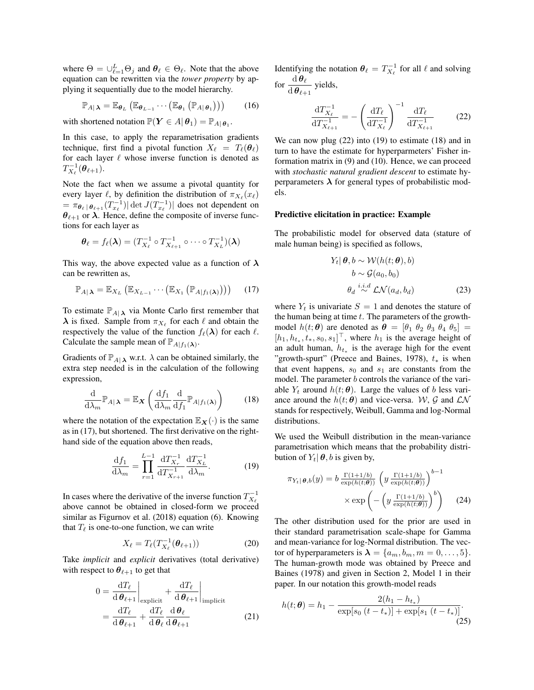where  $\Theta = \bigcup_{\ell=1}^{L} \Theta_j$  and  $\theta_{\ell} \in \Theta_{\ell}$ . Note that the above equation can be rewritten via the *tower property* by applying it sequentially due to the model hierarchy.

$$
\mathbb{P}_{A|\lambda} = \mathbb{E}_{\boldsymbol{\theta}_L} (\mathbb{E}_{\boldsymbol{\theta}_{L-1}} \cdots (\mathbb{E}_{\boldsymbol{\theta}_1} (\mathbb{P}_{A|\boldsymbol{\theta}_1}))) \qquad (16)
$$

with shortened notation  $\mathbb{P}(\boldsymbol{Y} \in A | \boldsymbol{\theta}_1) = \mathbb{P}_{A | \boldsymbol{\theta}_1}$ .

In this case, to apply the reparametrisation gradients technique, first find a pivotal function  $X_\ell = T_\ell(\theta_\ell)$ for each layer  $\ell$  whose inverse function is denoted as  $T_{X_{\ell}}^{-1}(\boldsymbol{\theta}_{\ell+1}).$ 

Note the fact when we assume a pivotal quantity for every layer  $\ell$ , by definition the distribution of  $\pi_{X_\ell}(x_\ell)$  $= \pi_{\theta_\ell \,|\,\theta_{\ell+1}}(T_{x_\ell}^{-1}) |\det J(T_{x_\ell}^{-1})|$  does not dependent on  $\theta_{\ell+1}$  or  $\lambda$ . Hence, define the composite of inverse functions for each layer as

$$
\boldsymbol{\theta}_{\ell} = f_{\ell}(\boldsymbol{\lambda}) = (T_{X_{\ell}}^{-1} \circ T_{X_{\ell+1}}^{-1} \circ \cdots \circ T_{X_{L}}^{-1})(\boldsymbol{\lambda})
$$

This way, the above expected value as a function of  $\lambda$ can be rewritten as,

$$
\mathbb{P}_{A|\lambda} = \mathbb{E}_{X_L} \left( \mathbb{E}_{X_{L-1}} \cdots \left( \mathbb{E}_{X_1} \left( \mathbb{P}_{A|f_1(\lambda)} \right) \right) \right) \tag{17}
$$

To estimate  $\mathbb{P}_{A|\lambda}$  via Monte Carlo first remember that  $\lambda$  is fixed. Sample from  $\pi_{X_\ell}$  for each  $\ell$  and obtain the respectively the value of the function  $f_{\ell}(\lambda)$  for each  $\ell$ . Calculate the sample mean of  $\mathbb{P}_{A|f_1(\lambda)}$ .

Gradients of  $\mathbb{P}_{A|\lambda}$  w.r.t.  $\lambda$  can be obtained similarly, the extra step needed is in the calculation of the following expression,

$$
\frac{\mathrm{d}}{\mathrm{d}\lambda_m} \mathbb{P}_{A|\lambda} = \mathbb{E}_{\mathbf{X}} \left( \frac{\mathrm{d}f_1}{\mathrm{d}\lambda_m} \frac{\mathrm{d}}{\mathrm{d}f_1} \mathbb{P}_{A|f_1(\lambda)} \right) \tag{18}
$$

where the notation of the expectation  $\mathbb{E}_{\mathbf{X}}(\cdot)$  is the same as in (17), but shortened. The first derivative on the righthand side of the equation above then reads,

$$
\frac{\mathrm{d}f_1}{\mathrm{d}\lambda_m} = \prod_{r=1}^{L-1} \frac{\mathrm{d}T_{X_r}^{-1}}{\mathrm{d}T_{X_{r+1}}^{-1}} \frac{\mathrm{d}T_{X_L}^{-1}}{\mathrm{d}\lambda_m}.\tag{19}
$$

In cases where the derivative of the inverse function  $T_{X_\ell}^{-1}$ above cannot be obtained in closed-form we proceed similar as Figurnov et al. (2018) equation (6). Knowing that  $T_{\ell}$  is one-to-one function, we can write

$$
X_{\ell} = T_{\ell}(T_{X_{\ell}}^{-1}(\boldsymbol{\theta}_{\ell+1})) \tag{20}
$$

Take *implicit* and *explicit* derivatives (total derivative) with respect to  $\theta_{\ell+1}$  to get that

$$
0 = \frac{dT_{\ell}}{d\theta_{\ell+1}}\Big|_{\text{explicit}} + \frac{dT_{\ell}}{d\theta_{\ell+1}}\Big|_{\text{implicit}}
$$
  
= 
$$
\frac{dT_{\ell}}{d\theta_{\ell+1}} + \frac{dT_{\ell}}{d\theta_{\ell}} \frac{d\theta_{\ell}}{d\theta_{\ell+1}}
$$
(21)

Identifying the notation  $\theta_{\ell} = T_{X_{\ell}}^{-1}$  for all  $\ell$  and solving for  $\frac{\mathrm{d}\,\boldsymbol{\theta}_{\ell}}{\mathrm{d}\,\boldsymbol{\theta}_{\ell+1}}$  yields,

$$
\frac{\mathrm{d}T_{X_{\ell}}^{-1}}{\mathrm{d}T_{X_{\ell+1}}^{-1}} = -\left(\frac{\mathrm{d}T_{\ell}}{\mathrm{d}T_{X_{\ell}}^{-1}}\right)^{-1} \frac{\mathrm{d}T_{\ell}}{\mathrm{d}T_{X_{\ell+1}}^{-1}} \tag{22}
$$

We can now plug (22) into (19) to estimate (18) and in turn to have the estimate for hyperparmeters' Fisher information matrix in (9) and (10). Hence, we can proceed with *stochastic natural gradient descent* to estimate hyperparameters  $\lambda$  for general types of probabilistic models.

#### Predictive elicitation in practice: Example

The probabilistic model for observed data (stature of male human being) is specified as follows,

$$
Y_t | \boldsymbol{\theta}, b \sim \mathcal{W}(h(t; \boldsymbol{\theta}), b)
$$
  

$$
b \sim \mathcal{G}(a_0, b_0)
$$
  

$$
\theta_d \stackrel{i.i.d}{\sim} \mathcal{LN}(a_d, b_d)
$$
 (23)

where  $Y_t$  is univariate  $S = 1$  and denotes the stature of the human being at time  $t$ . The parameters of the growthmodel  $h(t; \theta)$  are denoted as  $\theta = [\theta_1 \ \theta_2 \ \theta_3 \ \theta_4 \ \theta_5] =$  $[h_1, h_{t_*}, t_*, s_0, s_1]^\top$ , where  $h_1$  is the average height of an adult human,  $h_{t_*}$  is the average high for the event "growth-spurt" (Preece and Baines, 1978),  $t_*$  is when that event happens,  $s_0$  and  $s_1$  are constants from the model. The parameter *b* controls the variance of the variable  $Y_t$  around  $h(t; \theta)$ . Large the values of b less variance around the  $h(t; \theta)$  and vice-versa. W, G and  $\mathcal{LN}$ stands for respectively, Weibull, Gamma and log-Normal distributions.

We used the Weibull distribution in the mean-variance parametrisation which means that the probability distribution of  $Y_t | \theta$ , b is given by,

$$
\pi_{Y_t|\boldsymbol{\theta},b}(y) = b \frac{\Gamma(1+1/b)}{\exp(h(t;\boldsymbol{\theta}))} \left( y \frac{\Gamma(1+1/b)}{\exp(h(t;\boldsymbol{\theta}))} \right)^{b-1} \times \exp\left( -\left( y \frac{\Gamma(1+1/b)}{\exp(h(t;\boldsymbol{\theta}))} \right)^b \right) \tag{24}
$$

The other distribution used for the prior are used in their standard parametrisation scale-shape for Gamma and mean-variance for log-Normal distribution. The vector of hyperparameters is  $\lambda = \{a_m, b_m, m = 0, \ldots, 5\}.$ The human-growth mode was obtained by Preece and Baines (1978) and given in Section 2, Model 1 in their paper. In our notation this growth-model reads

$$
h(t; \theta) = h_1 - \frac{2(h_1 - h_{t_*})}{\exp[s_0 (t - t_*)] + \exp[s_1 (t - t_*)]}.
$$
\n(25)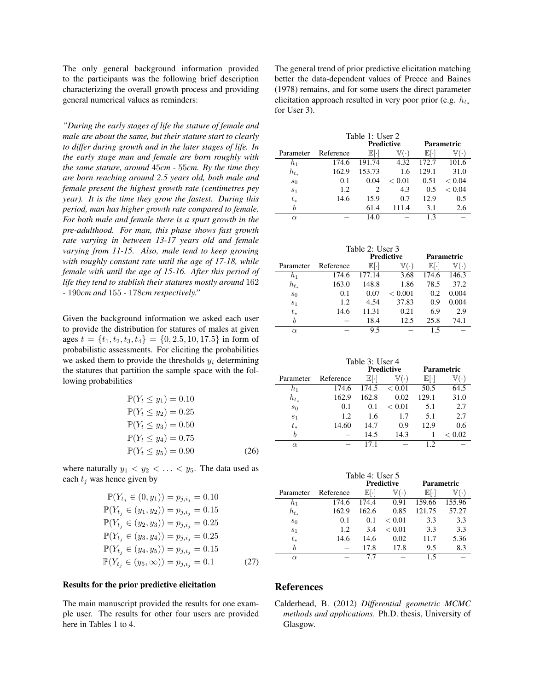The only general background information provided to the participants was the following brief description characterizing the overall growth process and providing general numerical values as reminders:

*"During the early stages of life the stature of female and male are about the same, but their stature start to clearly to differ during growth and in the later stages of life. In the early stage man and female are born roughly with the same stature, around* 45*cm -* 55*cm. By the time they are born reaching around 2.5 years old, both male and female present the highest growth rate (centimetres pey year). It is the time they grow the fastest. During this period, man has higher growth rate compared to female. For both male and female there is a spurt growth in the pre-adulthood. For man, this phase shows fast growth rate varying in between 13-17 years old and female varying from 11-15. Also, male tend to keep growing with roughly constant rate until the age of 17-18, while female with until the age of 15-16. After this period of life they tend to stablish their statures mostly around* 162 *-* 190*cm and* 155 *-* 178*cm respectively."*

Given the background information we asked each user to provide the distribution for statures of males at given ages  $t = \{t_1, t_2, t_3, t_4\} = \{0, 2.5, 10, 17.5\}$  in form of probabilistic assessments. For eliciting the probabilities we asked them to provide the thresholds  $y_i$  determining the statures that partition the sample space with the following probabilities

$$
\mathbb{P}(Y_t \le y_1) = 0.10
$$
  
\n
$$
\mathbb{P}(Y_t \le y_2) = 0.25
$$
  
\n
$$
\mathbb{P}(Y_t \le y_3) = 0.50
$$
  
\n
$$
\mathbb{P}(Y_t \le y_4) = 0.75
$$
  
\n
$$
\mathbb{P}(Y_t \le y_5) = 0.90
$$
 (26)

where naturally  $y_1 < y_2 < \ldots < y_5$ . The data used as each  $t_i$  was hence given by

$$
\mathbb{P}(Y_{t_j} \in (0, y_1)) = p_{j,i_j} = 0.10
$$
  
\n
$$
\mathbb{P}(Y_{t_j} \in (y_1, y_2)) = p_{j,i_j} = 0.15
$$
  
\n
$$
\mathbb{P}(Y_{t_j} \in (y_2, y_3)) = p_{j,i_j} = 0.25
$$
  
\n
$$
\mathbb{P}(Y_{t_j} \in (y_3, y_4)) = p_{j,i_j} = 0.25
$$
  
\n
$$
\mathbb{P}(Y_{t_j} \in (y_4, y_5)) = p_{j,i_j} = 0.15
$$
  
\n
$$
\mathbb{P}(Y_{t_j} \in (y_5, \infty)) = p_{j,i_j} = 0.1
$$
\n(27)

## Results for the prior predictive elicitation

The main manuscript provided the results for one example user. The results for other four users are provided here in Tables 1 to 4.

The general trend of prior predictive elicitation matching better the data-dependent values of Preece and Baines (1978) remains, and for some users the direct parameter elicitation approach resulted in very poor prior (e.g.  $h_{t_*}$ for User 3).

| Table 1: User 2 |           |                     |                     |                   |        |
|-----------------|-----------|---------------------|---------------------|-------------------|--------|
|                 |           |                     | <b>Predictive</b>   | <b>Parametric</b> |        |
| Parameter       | Reference | $\mathbb{E}[\cdot]$ | $\mathbb{V}(\cdot)$ | Eŀ.               | 7.     |
| $h_1$           | 174.6     | 191.74              | 4.32                | 172.7             | 101.6  |
| $h_{t_{\star}}$ | 162.9     | 153.73              | 1.6                 | 129.1             | 31.0   |
| $s_0$           | 0.1       | 0.04                | ${}_{< 0.01}$       | 0.51              | < 0.04 |
| s <sub>1</sub>  | 1.2       | 2                   | 4.3                 | 0.5               | < 0.04 |
| $t_\ast$        | 14.6      | 15.9                | 0.7                 | 12.9              | 0.5    |
| h               |           | 61.4                | 111.4               | 3.1               | 2.6    |
| $\alpha$        |           | 14.0                |                     | 13                |        |

| Table 2: User 3 |           |                   |                     |            |                     |
|-----------------|-----------|-------------------|---------------------|------------|---------------------|
|                 |           | <b>Predictive</b> |                     | Parametric |                     |
| Parameter       | Reference | EH.               | $\mathbb{V}(\cdot)$ | E          | $\mathbb{V}(\cdot)$ |
| h <sub>1</sub>  | 174.6     | 177.14            | 3.68                | 174.6      | 146.3               |
| $h_{t_*}$       | 163.0     | 148.8             | 1.86                | 78.5       | 37.2                |
| s <sub>0</sub>  | 0.1       | 0.07              | < 0.001             | 0.2        | 0.004               |
| s <sub>1</sub>  | 1.2       | 4.54              | 37.83               | 0.9        | 0.004               |
| $t_\ast$        | 14.6      | 11.31             | 0.21                | 6.9        | 2.9                 |
| b               |           | 18.4              | 12.5                | 25.8       | 74.1                |
| $\alpha$        |           | 9.5               |                     | 15         |                     |

| Table 3: User 4 |           |                     |                     |            |        |
|-----------------|-----------|---------------------|---------------------|------------|--------|
|                 |           | <b>Predictive</b>   |                     | Parametric |        |
| Parameter       | Reference | $\mathbb{E}[\cdot]$ | $\mathbb{V}(\cdot)$ | EI.        |        |
| $h_1$           | 174.6     | 174.5               | ${}_{< 0.01}$       | 50.5       | 64.5   |
| $h_{t}$         | 162.9     | 162.8               | 0.02                | 129.1      | 31.0   |
| s <sub>0</sub>  | 0.1       | 0.1                 | ${}_{< 0.01}$       | 5.1        | 2.7    |
| s <sub>1</sub>  | 1.2       | 1.6                 | 1.7                 | 5.1        | 2.7    |
| $t_\ast$        | 14.60     | 14.7                | 0.9                 | 12.9       | 0.6    |
| h               |           | 14.5                | 14.3                |            | < 0.02 |
| $\alpha$        |           |                     |                     |            |        |

| Table 4: User 5 |           |                     |                     |            |           |
|-----------------|-----------|---------------------|---------------------|------------|-----------|
|                 |           | <b>Predictive</b>   |                     | Parametric |           |
| Parameter       | Reference | $\mathbb{E}[\cdot]$ | $\mathbb{V}(\cdot)$ | E[.        | $\bullet$ |
| h1              | 174.6     | 174.4               | 0.91                | 159.66     | 155.96    |
| $h_{t_*}$       | 162.9     | 162.6               | 0.85                | 121.75     | 57.27     |
| $s_0$           | 0.1       | 0.1                 | ${}< 0.01$          | 3.3        | 3.3       |
| s <sub>1</sub>  | 1.2       | 3.4                 | < 0.01              | 3.3        | 3.3       |
| $t_\ast$        | 14.6      | 14.6                | 0.02                | 11.7       | 5.36      |
| h               |           | 17.8                | 17.8                | 9.5        | 8.3       |
| $\alpha$        |           |                     |                     | 15         |           |

## References

Calderhead, B. (2012) *Differential geometric MCMC methods and applications*. Ph.D. thesis, University of Glasgow.